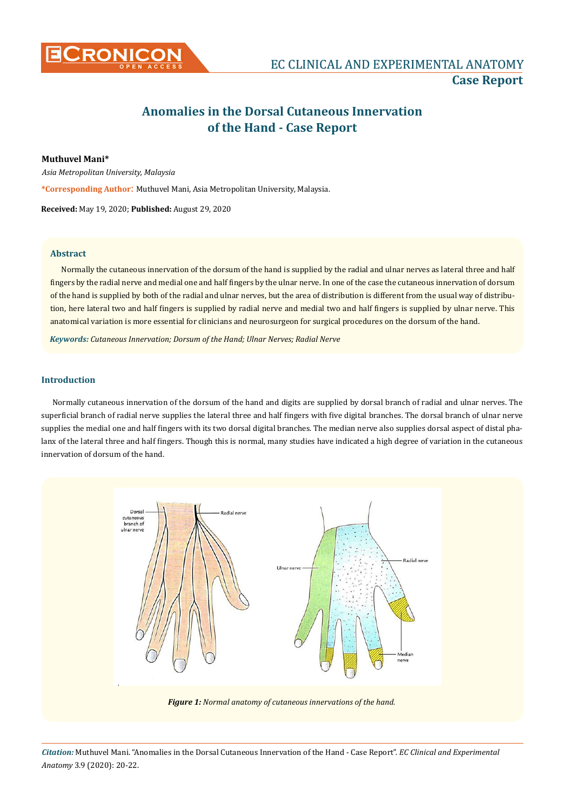

# **Anomalies in the Dorsal Cutaneous Innervation of the Hand - Case Report**

## **Muthuvel Mani\***

*Asia Metropolitan University, Malaysia* 

**\*Corresponding Author**: Muthuvel Mani, Asia Metropolitan University, Malaysia.

**Received:** May 19, 2020; **Published:** August 29, 2020

### **Abstract**

Normally the cutaneous innervation of the dorsum of the hand is supplied by the radial and ulnar nerves as lateral three and half fingers by the radial nerve and medial one and half fingers by the ulnar nerve. In one of the case the cutaneous innervation of dorsum of the hand is supplied by both of the radial and ulnar nerves, but the area of distribution is different from the usual way of distribution, here lateral two and half fingers is supplied by radial nerve and medial two and half fingers is supplied by ulnar nerve. This anatomical variation is more essential for clinicians and neurosurgeon for surgical procedures on the dorsum of the hand.

*Keywords: Cutaneous Innervation; Dorsum of the Hand; Ulnar Nerves; Radial Nerve*

# **Introduction**

Normally cutaneous innervation of the dorsum of the hand and digits are supplied by dorsal branch of radial and ulnar nerves. The superficial branch of radial nerve supplies the lateral three and half fingers with five digital branches. The dorsal branch of ulnar nerve supplies the medial one and half fingers with its two dorsal digital branches. The median nerve also supplies dorsal aspect of distal phalanx of the lateral three and half fingers. Though this is normal, many studies have indicated a high degree of variation in the cutaneous innervation of dorsum of the hand.



*Citation:* Muthuvel Mani. "Anomalies in the Dorsal Cutaneous Innervation of the Hand - Case Report". *EC Clinical and Experimental Anatomy* 3.9 (2020): 20-22.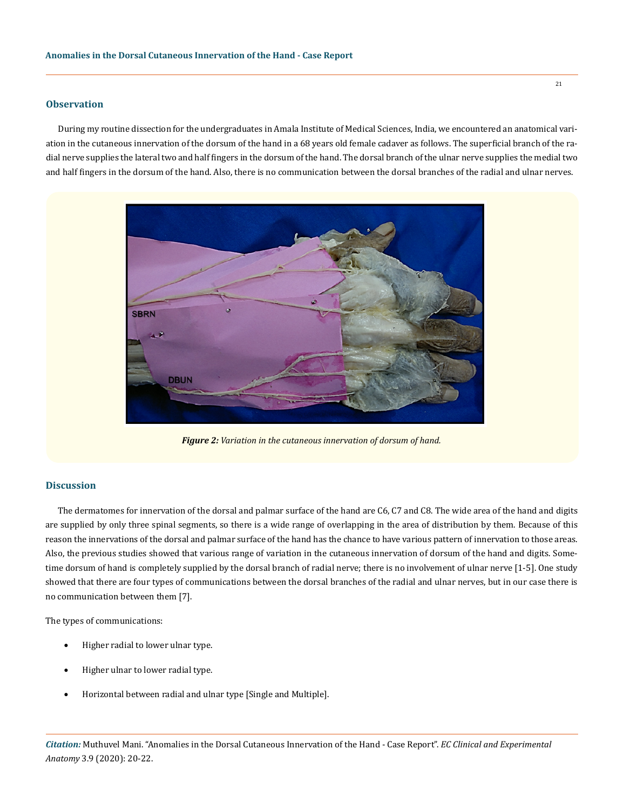#### **Observation**

During my routine dissection for the undergraduates in Amala Institute of Medical Sciences, India, we encountered an anatomical variation in the cutaneous innervation of the dorsum of the hand in a 68 years old female cadaver as follows. The superficial branch of the radial nerve supplies the lateral two and half fingers in the dorsum of the hand. The dorsal branch of the ulnar nerve supplies the medial two and half fingers in the dorsum of the hand. Also, there is no communication between the dorsal branches of the radial and ulnar nerves.



*Figure 2: Variation in the cutaneous innervation of dorsum of hand.*

#### **Discussion**

The dermatomes for innervation of the dorsal and palmar surface of the hand are C6, C7 and C8. The wide area of the hand and digits are supplied by only three spinal segments, so there is a wide range of overlapping in the area of distribution by them. Because of this reason the innervations of the dorsal and palmar surface of the hand has the chance to have various pattern of innervation to those areas. Also, the previous studies showed that various range of variation in the cutaneous innervation of dorsum of the hand and digits. Sometime dorsum of hand is completely supplied by the dorsal branch of radial nerve; there is no involvement of ulnar nerve [1-5]. One study showed that there are four types of communications between the dorsal branches of the radial and ulnar nerves, but in our case there is no communication between them [7].

The types of communications:

- Higher radial to lower ulnar type.
- Higher ulnar to lower radial type.
- Horizontal between radial and ulnar type [Single and Multiple].

*Citation:* Muthuvel Mani. "Anomalies in the Dorsal Cutaneous Innervation of the Hand - Case Report". *EC Clinical and Experimental Anatomy* 3.9 (2020): 20-22.